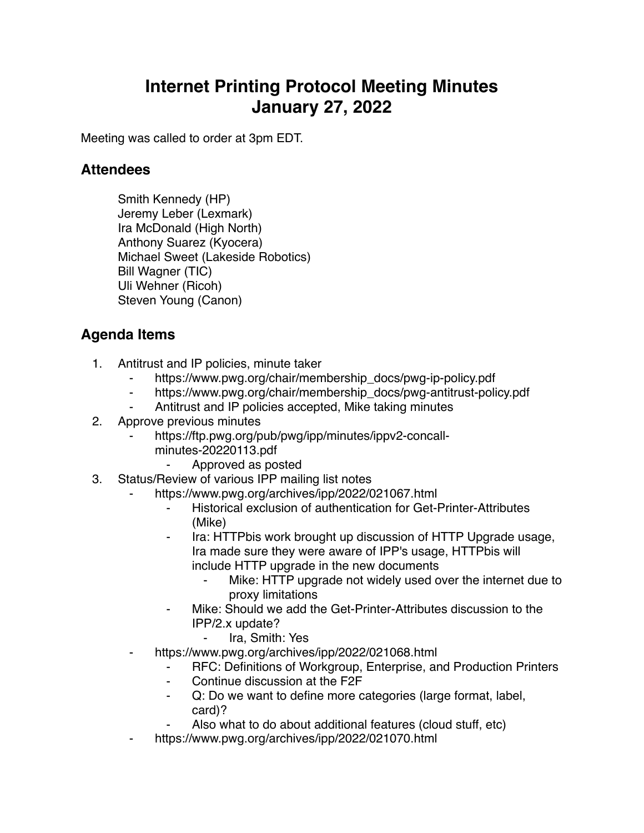## **Internet Printing Protocol Meeting Minutes January 27, 2022**

Meeting was called to order at 3pm EDT.

## **Attendees**

Smith Kennedy (HP) Jeremy Leber (Lexmark) Ira McDonald (High North) Anthony Suarez (Kyocera) Michael Sweet (Lakeside Robotics) Bill Wagner (TIC) Uli Wehner (Ricoh) Steven Young (Canon)

## **Agenda Items**

- 1. Antitrust and IP policies, minute taker
	- https://www.pwg.org/chair/membership\_docs/pwg-ip-policy.pdf
	- ⁃ https://www.pwg.org/chair/membership\_docs/pwg-antitrust-policy.pdf
	- Antitrust and IP policies accepted, Mike taking minutes
- 2. Approve previous minutes
	- https://ftp.pwg.org/pub/pwg/ipp/minutes/ippv2-concall
		- minutes-20220113.pdf
			- ⁃ Approved as posted
- 3. Status/Review of various IPP mailing list notes
	- https://www.pwg.org/archives/ipp/2022/021067.html
		- ⁃ Historical exclusion of authentication for Get-Printer-Attributes (Mike)
		- Ira: HTTPbis work brought up discussion of HTTP Upgrade usage, Ira made sure they were aware of IPP's usage, HTTPbis will include HTTP upgrade in the new documents
			- ⁃ Mike: HTTP upgrade not widely used over the internet due to proxy limitations
		- Mike: Should we add the Get-Printer-Attributes discussion to the IPP/2.x update?
			- Ira, Smith: Yes
	- https://www.pwg.org/archives/ipp/2022/021068.html
		- ⁃ RFC: Definitions of Workgroup, Enterprise, and Production Printers
		- Continue discussion at the F2F
		- ⁃ Q: Do we want to define more categories (large format, label, card)?
		- Also what to do about additional features (cloud stuff, etc)
	- https://www.pwg.org/archives/ipp/2022/021070.html